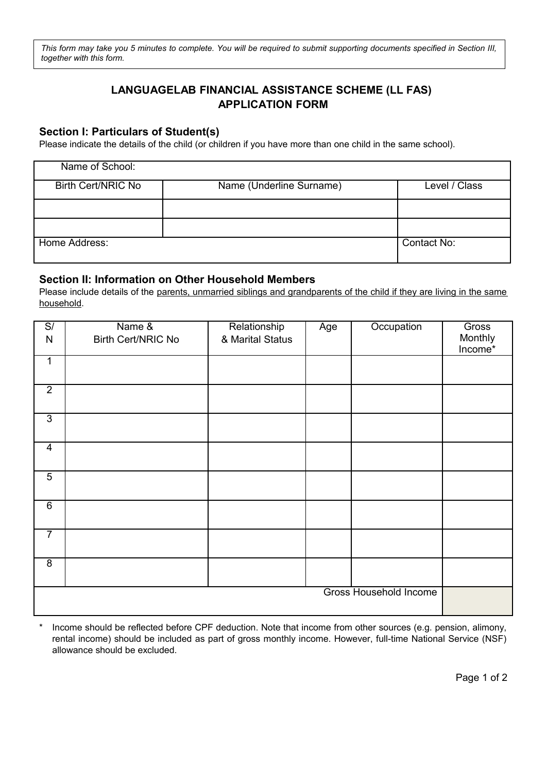*This form may take you 5 minutes to complete. You will be required to submit supporting documents specified in Section III, together with this form.*

# **LANGUAGELAB FINANCIAL ASSISTANCE SCHEME (LL FAS) APPLICATION FORM**

### **Section I: Particulars of Student(s)**

Please indicate the details of the child (or children if you have more than one child in the same school).

| Name of School:    |                          |               |
|--------------------|--------------------------|---------------|
| Birth Cert/NRIC No | Name (Underline Surname) | Level / Class |
|                    |                          |               |
|                    |                          |               |
| Home Address:      |                          | Contact No:   |

#### **Section II: Information on Other Household Members**

Please include details of the parents, unmarried siblings and grandparents of the child if they are living in the same household.

| $\mathbb{S}/% \mathbb{S}^2$<br>$\mathsf{N}$ | Name &<br>Birth Cert/NRIC No | Relationship<br>& Marital Status | Age | Occupation             | Gross<br>Monthly<br>Income* |
|---------------------------------------------|------------------------------|----------------------------------|-----|------------------------|-----------------------------|
| $\mathbf{1}$                                |                              |                                  |     |                        |                             |
| $\overline{2}$                              |                              |                                  |     |                        |                             |
| $\overline{3}$                              |                              |                                  |     |                        |                             |
| $\overline{4}$                              |                              |                                  |     |                        |                             |
| $\overline{5}$                              |                              |                                  |     |                        |                             |
| $\overline{6}$                              |                              |                                  |     |                        |                             |
| $\overline{7}$                              |                              |                                  |     |                        |                             |
| $\overline{8}$                              |                              |                                  |     |                        |                             |
|                                             |                              |                                  |     | Gross Household Income |                             |

Income should be reflected before CPF deduction. Note that income from other sources (e.g. pension, alimony, rental income) should be included as part of gross monthly income. However, full-time National Service (NSF) allowance should be excluded.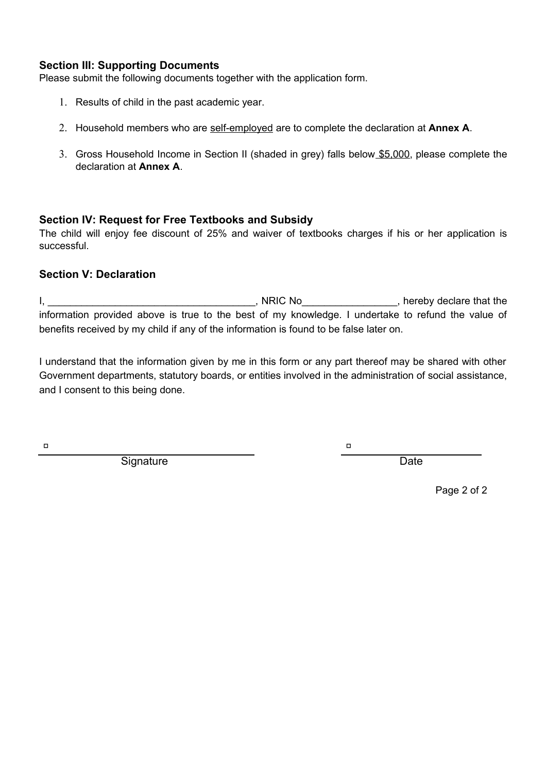#### **Section III: Supporting Documents**

Please submit the following documents together with the application form.

- 1. Results of child in the past academic year.
- 2. Household members who are self-employed are to complete the declaration at **Annex A**.
- 3. Gross Household Income in Section II (shaded in grey) falls below \$5,000, please complete the declaration at **Annex A**.

### **Section IV: Request for Free Textbooks and Subsidy**

The child will enjoy fee discount of 25% and waiver of textbooks charges if his or her application is successful.

### **Section V: Declaration**

I, \_\_\_\_\_\_\_\_\_\_\_\_\_\_\_\_\_\_\_\_\_\_\_\_\_\_\_\_\_\_\_\_\_\_\_\_\_, NRIC No\_\_\_\_\_\_\_\_\_\_\_\_\_\_\_\_\_, hereby declare that the information provided above is true to the best of my knowledge. I undertake to refund the value of benefits received by my child if any of the information is found to be false later on.

I understand that the information given by me in this form or any part thereof may be shared with other Government departments, statutory boards, or entities involved in the administration of social assistance, and I consent to this being done.

a and a structure of the structure of the structure of the structure of the structure of the structure of the s<br>The structure of the structure of the structure of the structure of the structure of the structure of the stru

Signature Date **Date** 

Page 2 of 2